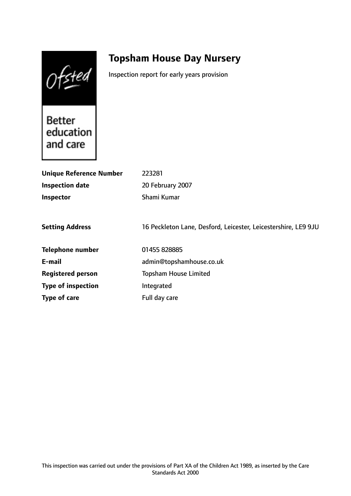Ofsted

# **Topsham House Day Nursery**

Inspection report for early years provision

Better education and care

| <b>Unique Reference Number</b> | 223281                                                         |
|--------------------------------|----------------------------------------------------------------|
| <b>Inspection date</b>         | 20 February 2007                                               |
| Inspector                      | Shami Kumar                                                    |
|                                |                                                                |
| <b>Setting Address</b>         | 16 Peckleton Lane, Desford, Leicester, Leicestershire, LE9 9JU |
| <b>Telephone number</b>        | 01455 828885                                                   |
| E-mail                         | admin@topshamhouse.co.uk                                       |
| <b>Registered person</b>       | <b>Topsham House Limited</b>                                   |
| <b>Type of inspection</b>      | Integrated                                                     |
| Type of care                   | Full day care                                                  |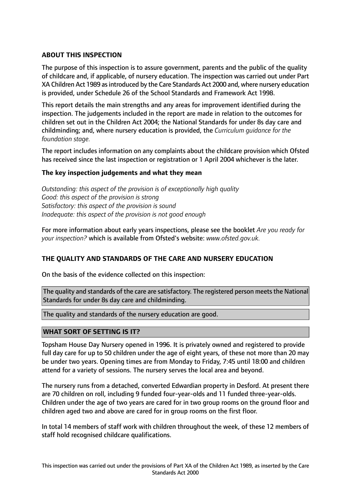# **ABOUT THIS INSPECTION**

The purpose of this inspection is to assure government, parents and the public of the quality of childcare and, if applicable, of nursery education. The inspection was carried out under Part XA Children Act 1989 as introduced by the Care Standards Act 2000 and, where nursery education is provided, under Schedule 26 of the School Standards and Framework Act 1998.

This report details the main strengths and any areas for improvement identified during the inspection. The judgements included in the report are made in relation to the outcomes for children set out in the Children Act 2004; the National Standards for under 8s day care and childminding; and, where nursery education is provided, the *Curriculum guidance for the foundation stage.*

The report includes information on any complaints about the childcare provision which Ofsted has received since the last inspection or registration or 1 April 2004 whichever is the later.

## **The key inspection judgements and what they mean**

*Outstanding: this aspect of the provision is of exceptionally high quality Good: this aspect of the provision is strong Satisfactory: this aspect of the provision is sound Inadequate: this aspect of the provision is not good enough*

For more information about early years inspections, please see the booklet *Are you ready for your inspection?* which is available from Ofsted's website: *www.ofsted.gov.uk.*

## **THE QUALITY AND STANDARDS OF THE CARE AND NURSERY EDUCATION**

On the basis of the evidence collected on this inspection:

The quality and standards of the care are satisfactory. The registered person meets the National Standards for under 8s day care and childminding.

The quality and standards of the nursery education are good.

## **WHAT SORT OF SETTING IS IT?**

Topsham House Day Nursery opened in 1996. It is privately owned and registered to provide full day care for up to 50 children under the age of eight years, of these not more than 20 may be under two years. Opening times are from Monday to Friday, 7:45 until 18:00 and children attend for a variety of sessions. The nursery serves the local area and beyond.

The nursery runs from a detached, converted Edwardian property in Desford. At present there are 70 children on roll, including 9 funded four-year-olds and 11 funded three-year-olds. Children under the age of two years are cared for in two group rooms on the ground floor and children aged two and above are cared for in group rooms on the first floor.

In total 14 members of staff work with children throughout the week, of these 12 members of staff hold recognised childcare qualifications.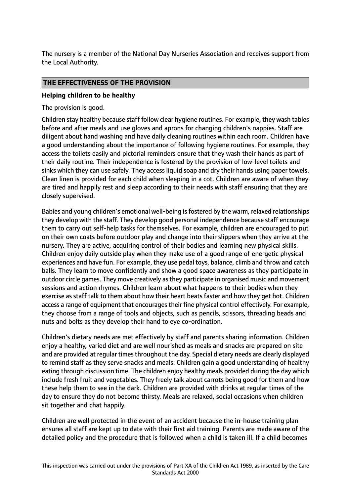The nursery is a member of the National Day Nurseries Association and receives support from the Local Authority.

# **THE EFFECTIVENESS OF THE PROVISION**

#### **Helping children to be healthy**

The provision is good.

Children stay healthy because staff follow clear hygiene routines. For example, they wash tables before and after meals and use gloves and aprons for changing children's nappies. Staff are diligent about hand washing and have daily cleaning routines within each room. Children have a good understanding about the importance of following hygiene routines. For example, they access the toilets easily and pictorial reminders ensure that they wash their hands as part of their daily routine. Their independence is fostered by the provision of low-level toilets and sinks which they can use safely. They access liquid soap and dry their hands using paper towels. Clean linen is provided for each child when sleeping in a cot. Children are aware of when they are tired and happily rest and sleep according to their needs with staff ensuring that they are closely supervised.

Babies and young children's emotional well-being is fostered by the warm, relaxed relationships they develop with the staff. They develop good personal independence because staff encourage them to carry out self-help tasks for themselves. For example, children are encouraged to put on their own coats before outdoor play and change into their slippers when they arrive at the nursery. They are active, acquiring control of their bodies and learning new physical skills. Children enjoy daily outside play when they make use of a good range of energetic physical experiences and have fun. For example, they use pedal toys, balance, climb and throw and catch balls. They learn to move confidently and show a good space awareness as they participate in outdoor circle games. They move creatively asthey participate in organised music and movement sessions and action rhymes. Children learn about what happens to their bodies when they exercise as staff talk to them about how their heart beats faster and how they get hot. Children access a range of equipment that encourages their fine physical control effectively. For example, they choose from a range of tools and objects, such as pencils, scissors, threading beads and nuts and bolts as they develop their hand to eye co-ordination.

Children's dietary needs are met effectively by staff and parents sharing information. Children enjoy a healthy, varied diet and are well nourished as meals and snacks are prepared on site and are provided at regular times throughout the day. Special dietary needs are clearly displayed to remind staff as they serve snacks and meals. Children gain a good understanding of healthy eating through discussion time. The children enjoy healthy meals provided during the day which include fresh fruit and vegetables. They freely talk about carrots being good for them and how these help them to see in the dark. Children are provided with drinks at regular times of the day to ensure they do not become thirsty. Meals are relaxed, social occasions when children sit together and chat happily.

Children are well protected in the event of an accident because the in-house training plan ensures all staff are kept up to date with their first aid training. Parents are made aware of the detailed policy and the procedure that is followed when a child is taken ill. If a child becomes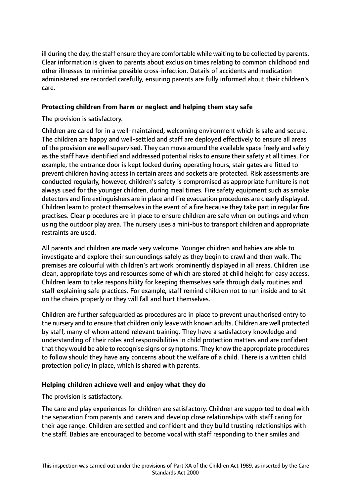ill during the day, the staff ensure they are comfortable while waiting to be collected by parents. Clear information is given to parents about exclusion times relating to common childhood and other illnesses to minimise possible cross-infection. Details of accidents and medication administered are recorded carefully, ensuring parents are fully informed about their children's care.

# **Protecting children from harm or neglect and helping them stay safe**

The provision is satisfactory.

Children are cared for in a well-maintained, welcoming environment which is safe and secure. The children are happy and well-settled and staff are deployed effectively to ensure all areas of the provision are well supervised. They can move around the available space freely and safely as the staff have identified and addressed potential risks to ensure their safety at all times. For example, the entrance door is kept locked during operating hours, stair gates are fitted to prevent children having access in certain areas and sockets are protected. Risk assessments are conducted regularly, however, children's safety is compromised as appropriate furniture is not always used for the younger children, during meal times. Fire safety equipment such as smoke detectors and fire extinguishers are in place and fire evacuation procedures are clearly displayed. Children learn to protect themselves in the event of a fire because they take part in regular fire practises. Clear procedures are in place to ensure children are safe when on outings and when using the outdoor play area. The nursery uses a mini-bus to transport children and appropriate restraints are used.

All parents and children are made very welcome. Younger children and babies are able to investigate and explore their surroundings safely as they begin to crawl and then walk. The premises are colourful with children's art work prominently displayed in all areas. Children use clean, appropriate toys and resources some of which are stored at child height for easy access. Children learn to take responsibility for keeping themselves safe through daily routines and staff explaining safe practices. For example, staff remind children not to run inside and to sit on the chairs properly or they will fall and hurt themselves.

Children are further safeguarded as procedures are in place to prevent unauthorised entry to the nursery and to ensure that children only leave with known adults. Children are well protected by staff, many of whom attend relevant training. They have a satisfactory knowledge and understanding of their roles and responsibilities in child protection matters and are confident that they would be able to recognise signs or symptoms. They know the appropriate procedures to follow should they have any concerns about the welfare of a child. There is a written child protection policy in place, which is shared with parents.

## **Helping children achieve well and enjoy what they do**

The provision is satisfactory.

The care and play experiences for children are satisfactory. Children are supported to deal with the separation from parents and carers and develop close relationships with staff caring for their age range. Children are settled and confident and they build trusting relationships with the staff. Babies are encouraged to become vocal with staff responding to their smiles and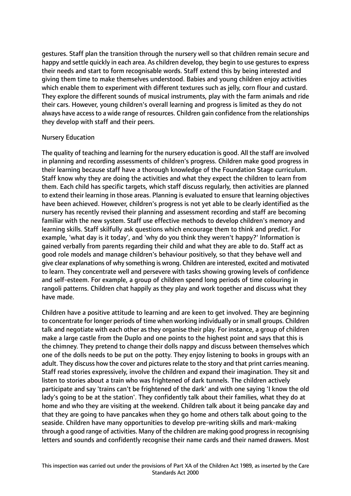gestures. Staff plan the transition through the nursery well so that children remain secure and happy and settle quickly in each area. As children develop, they begin to use gestures to express their needs and start to form recognisable words. Staff extend this by being interested and giving them time to make themselves understood. Babies and young children enjoy activities which enable them to experiment with different textures such as jelly, corn flour and custard. They explore the different sounds of musical instruments, play with the farm animals and ride their cars. However, young children's overall learning and progress is limited as they do not always have access to a wide range of resources. Children gain confidence from the relationships they develop with staff and their peers.

#### Nursery Education

The quality of teaching and learning for the nursery education is good. All the staff are involved in planning and recording assessments of children's progress. Children make good progress in their learning because staff have a thorough knowledge of the Foundation Stage curriculum. Staff know why they are doing the activities and what they expect the children to learn from them. Each child has specific targets, which staff discuss regularly, then activities are planned to extend their learning in those areas. Planning is evaluated to ensure that learning objectives have been achieved. However, children's progress is not yet able to be clearly identified as the nursery has recently revised their planning and assessment recording and staff are becoming familiar with the new system. Staff use effective methods to develop children's memory and learning skills. Staff skilfully ask questions which encourage them to think and predict. For example, 'what day is it today', and 'why do you think they weren't happy?' Information is gained verbally from parents regarding their child and what they are able to do. Staff act as good role models and manage children's behaviour positively, so that they behave well and give clear explanations of why something is wrong. Children are interested, excited and motivated to learn. They concentrate well and persevere with tasks showing growing levels of confidence and self-esteem. For example, a group of children spend long periods of time colouring in rangoli patterns. Children chat happily as they play and work together and discuss what they have made.

Children have a positive attitude to learning and are keen to get involved. They are beginning to concentrate for longer periods of time when working individually or in small groups. Children talk and negotiate with each other as they organise their play. For instance, a group of children make a large castle from the Duplo and one points to the highest point and says that this is the chimney. They pretend to change their dolls nappy and discuss between themselves which one of the dolls needs to be put on the potty. They enjoy listening to books in groups with an adult. They discuss how the cover and pictures relate to the story and that print carries meaning. Staff read stories expressively, involve the children and expand their imagination. They sit and listen to stories about a train who was frightened of dark tunnels. The children actively participate and say 'trains can't be frightened of the dark' and with one saying 'I know the old lady's going to be at the station'. They confidently talk about their families, what they do at home and who they are visiting at the weekend. Children talk about it being pancake day and that they are going to have pancakes when they go home and others talk about going to the seaside. Children have many opportunities to develop pre-writing skills and mark-making through a good range of activities. Many of the children are making good progressin recognising letters and sounds and confidently recognise their name cards and their named drawers. Most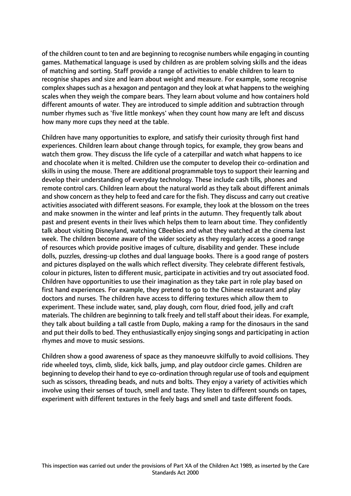of the children count to ten and are beginning to recognise numbers while engaging in counting games. Mathematical language is used by children as are problem solving skills and the ideas of matching and sorting. Staff provide a range of activities to enable children to learn to recognise shapes and size and learn about weight and measure. For example, some recognise complex shapes such as a hexagon and pentagon and they look at what happens to the weighing scales when they weigh the compare bears. They learn about volume and how containers hold different amounts of water. They are introduced to simple addition and subtraction through number rhymes such as 'five little monkeys' when they count how many are left and discuss how many more cups they need at the table.

Children have many opportunities to explore, and satisfy their curiosity through first hand experiences. Children learn about change through topics, for example, they grow beans and watch them grow. They discuss the life cycle of a caterpillar and watch what happens to ice and chocolate when it is melted. Children use the computer to develop their co-ordination and skills in using the mouse. There are additional programmable toys to support their learning and develop their understanding of everyday technology. These include cash tills, phones and remote control cars. Children learn about the natural world as they talk about different animals and show concern as they help to feed and care for the fish. They discuss and carry out creative activities associated with different seasons. For example, they look at the blossom on the trees and make snowmen in the winter and leaf prints in the autumn. They frequently talk about past and present events in their lives which helps them to learn about time. They confidently talk about visiting Disneyland, watching CBeebies and what they watched at the cinema last week. The children become aware of the wider society as they regularly access a good range of resources which provide positive images of culture, disability and gender. These include dolls, puzzles, dressing-up clothes and dual language books. There is a good range of posters and pictures displayed on the walls which reflect diversity. They celebrate different festivals, colour in pictures, listen to different music, participate in activities and try out associated food. Children have opportunities to use their imagination as they take part in role play based on first hand experiences. For example, they pretend to go to the Chinese restaurant and play doctors and nurses. The children have access to differing textures which allow them to experiment. These include water, sand, play dough, corn flour, dried food, jelly and craft materials. The children are beginning to talk freely and tell staff about their ideas. For example, they talk about building a tall castle from Duplo, making a ramp for the dinosaurs in the sand and put their dolls to bed. They enthusiastically enjoy singing songs and participating in action rhymes and move to music sessions.

Children show a good awareness of space as they manoeuvre skilfully to avoid collisions. They ride wheeled toys, climb, slide, kick balls, jump, and play outdoor circle games. Children are beginning to develop their hand to eye co-ordination through regular use of tools and equipment such as scissors, threading beads, and nuts and bolts. They enjoy a variety of activities which involve using their senses of touch, smell and taste. They listen to different sounds on tapes, experiment with different textures in the feely bags and smell and taste different foods.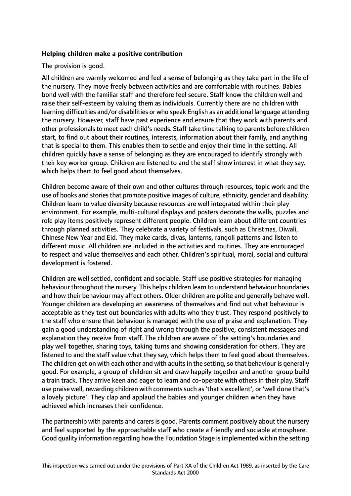## **Helping children make a positive contribution**

The provision is good.

All children are warmly welcomed and feel a sense of belonging as they take part in the life of the nursery. They move freely between activities and are comfortable with routines. Babies bond well with the familiar staff and therefore feel secure. Staff know the children well and raise their self-esteem by valuing them as individuals. Currently there are no children with learning difficulties and/or disabilities or who speak English as an additional language attending the nursery. However, staff have past experience and ensure that they work with parents and other professionals to meet each child's needs. Staff take time talking to parents before children start, to find out about their routines, interests, information about their family, and anything that is special to them. This enables them to settle and enjoy their time in the setting. All children quickly have a sense of belonging as they are encouraged to identify strongly with their key worker group. Children are listened to and the staff show interest in what they say, which helps them to feel good about themselves.

Children become aware of their own and other cultures through resources, topic work and the use of books and stories that promote positive images of culture, ethnicity, gender and disability. Children learn to value diversity because resources are well integrated within their play environment. For example, multi-cultural displays and posters decorate the walls, puzzles and role play items positively represent different people. Children learn about different countries through planned activities. They celebrate a variety of festivals, such as Christmas, Diwali, Chinese New Year and Eid. They make cards, divas, lanterns, rangoli patterns and listen to different music. All children are included in the activities and routines. They are encouraged to respect and value themselves and each other. Children's spiritual, moral, social and cultural development is fostered.

Children are well settled, confident and sociable. Staff use positive strategies for managing behaviour throughout the nursery. This helps children learn to understand behaviour boundaries and how their behaviour may affect others. Older children are polite and generally behave well. Younger children are developing an awareness of themselves and find out what behaviour is acceptable as they test out boundaries with adults who they trust. They respond positively to the staff who ensure that behaviour is managed with the use of praise and explanation. They gain a good understanding of right and wrong through the positive, consistent messages and explanation they receive from staff. The children are aware of the setting's boundaries and play well together, sharing toys, taking turns and showing consideration for others. They are listened to and the staff value what they say, which helps them to feel good about themselves. The children get on with each other and with adults in the setting, so that behaviour is generally good. For example, a group of children sit and draw happily together and another group build a train track. They arrive keen and eager to learn and co-operate with others in their play. Staff use praise well, rewarding children with comments such as 'that's excellent', or 'well done that's a lovely picture'. They clap and applaud the babies and younger children when they have achieved which increases their confidence.

The partnership with parents and carers is good. Parents comment positively about the nursery and feel supported by the approachable staff who create a friendly and sociable atmosphere. Good quality information regarding how the Foundation Stage isimplemented within the setting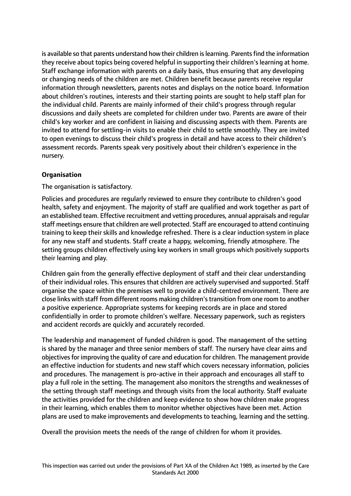is available so that parents understand how their children is learning. Parents find the information they receive about topics being covered helpful in supporting their children's learning at home. Staff exchange information with parents on a daily basis, thus ensuring that any developing or changing needs of the children are met. Children benefit because parents receive regular information through newsletters, parents notes and displays on the notice board. Information about children's routines, interests and their starting points are sought to help staff plan for the individual child. Parents are mainly informed of their child's progress through regular discussions and daily sheets are completed for children under two. Parents are aware of their child's key worker and are confident in liaising and discussing aspects with them. Parents are invited to attend for settling-in visits to enable their child to settle smoothly. They are invited to open evenings to discuss their child's progress in detail and have access to their children's assessment records. Parents speak very positively about their children's experience in the nursery.

# **Organisation**

The organisation is satisfactory.

Policies and procedures are regularly reviewed to ensure they contribute to children's good health, safety and enjoyment. The majority of staff are qualified and work together as part of an established team. Effective recruitment and vetting procedures, annual appraisals and regular staff meetings ensure that children are well protected. Staff are encouraged to attend continuing training to keep their skills and knowledge refreshed. There is a clear induction system in place for any new staff and students. Staff create a happy, welcoming, friendly atmosphere. The setting groups children effectively using key workers in small groups which positively supports their learning and play.

Children gain from the generally effective deployment of staff and their clear understanding of their individual roles. This ensures that children are actively supervised and supported. Staff organise the space within the premises well to provide a child-centred environment. There are close links with staff from different rooms making children'stransition from one room to another a positive experience. Appropriate systems for keeping records are in place and stored confidentially in order to promote children's welfare. Necessary paperwork, such as registers and accident records are quickly and accurately recorded.

The leadership and management of funded children is good. The management of the setting is shared by the manager and three senior members of staff. The nursery have clear aims and objectives for improving the quality of care and education for children. The management provide an effective induction for students and new staff which covers necessary information, policies and procedures. The management is pro-active in their approach and encourages all staff to play a full role in the setting. The management also monitors the strengths and weaknesses of the setting through staff meetings and through visits from the local authority. Staff evaluate the activities provided for the children and keep evidence to show how children make progress in their learning, which enables them to monitor whether objectives have been met. Action plans are used to make improvements and developments to teaching, learning and the setting.

Overall the provision meets the needs of the range of children for whom it provides.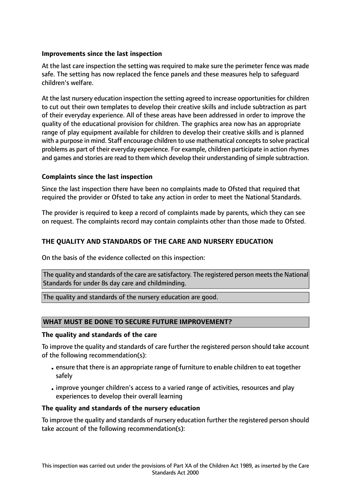# **Improvements since the last inspection**

At the last care inspection the setting was required to make sure the perimeter fence was made safe. The setting has now replaced the fence panels and these measures help to safeguard children's welfare.

At the last nursery education inspection the setting agreed to increase opportunities for children to cut out their own templates to develop their creative skills and include subtraction as part of their everyday experience. All of these areas have been addressed in order to improve the quality of the educational provision for children. The graphics area now has an appropriate range of play equipment available for children to develop their creative skills and is planned with a purpose in mind. Staff encourage children to use mathematical concepts to solve practical problems as part of their everyday experience. For example, children participate in action rhymes and games and stories are read to them which develop their understanding of simple subtraction.

# **Complaints since the last inspection**

Since the last inspection there have been no complaints made to Ofsted that required that required the provider or Ofsted to take any action in order to meet the National Standards.

The provider is required to keep a record of complaints made by parents, which they can see on request. The complaints record may contain complaints other than those made to Ofsted.

# **THE QUALITY AND STANDARDS OF THE CARE AND NURSERY EDUCATION**

On the basis of the evidence collected on this inspection:

The quality and standards of the care are satisfactory. The registered person meets the National Standards for under 8s day care and childminding.

The quality and standards of the nursery education are good.

## **WHAT MUST BE DONE TO SECURE FUTURE IMPROVEMENT?**

#### **The quality and standards of the care**

To improve the quality and standards of care further the registered person should take account of the following recommendation(s):

- •ensure that there is an appropriate range of furniture to enable children to eat together safely
- •improve younger children's access to a varied range of activities, resources and play experiences to develop their overall learning

## **The quality and standards of the nursery education**

To improve the quality and standards of nursery education further the registered person should take account of the following recommendation(s):